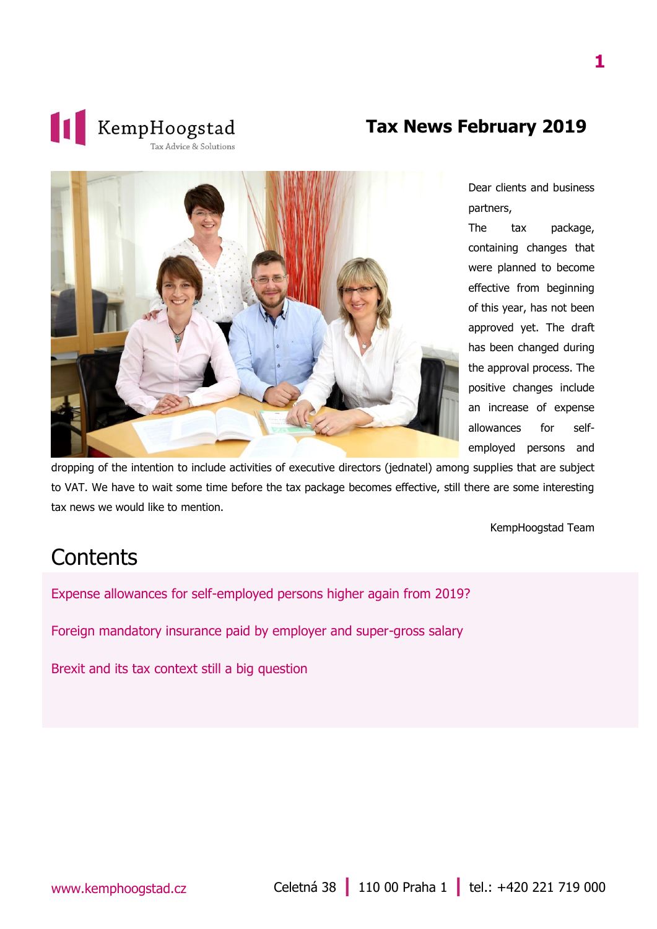

#### **Tax News February 2019**



Dear clients and business partners,

The tax package, containing changes that were planned to become effective from beginning of this year, has not been approved yet. The draft has been changed during the approval process. The positive changes include an increase of expense allowances for selfemployed persons and

dropping of the intention to include activities of executive directors (jednatel) among supplies that are subject to VAT. We have to wait some time before the tax package becomes effective, still there are some interesting tax news we would like to mention.

KempHoogstad Team

### **Contents**

[Expense allowances for self-employed persons higher again from 2019?](#page-1-0)

[Foreign mandatory insurance paid by employer and super-gross salary](#page-2-0)

[Brexit and its tax context still a big question](#page-2-1)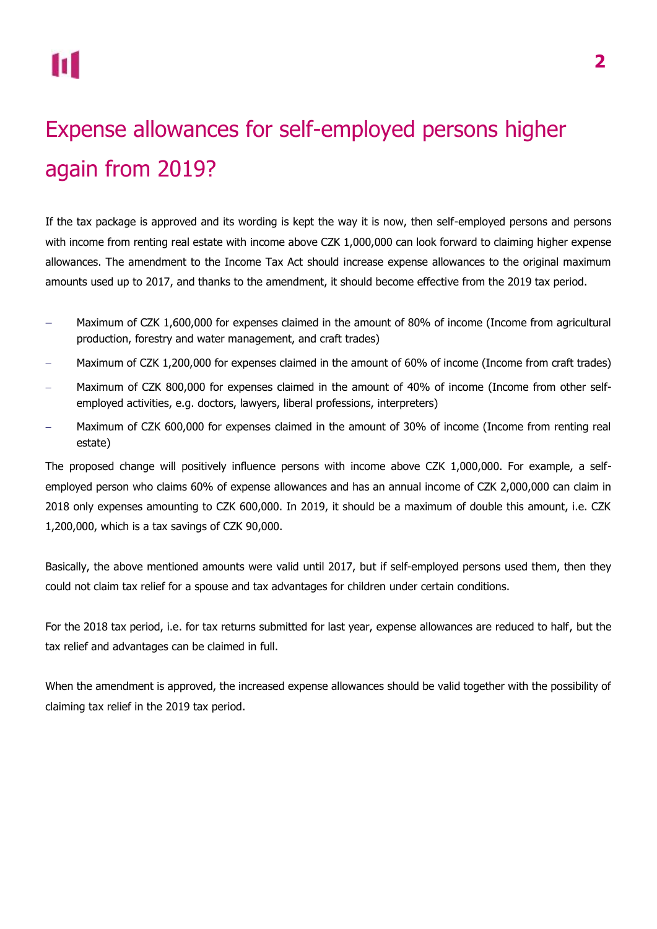# <span id="page-1-0"></span>Expense allowances for self-employed persons higher again from 2019?

If the tax package is approved and its wording is kept the way it is now, then self-employed persons and persons with income from renting real estate with income above CZK 1,000,000 can look forward to claiming higher expense allowances. The amendment to the Income Tax Act should increase expense allowances to the original maximum amounts used up to 2017, and thanks to the amendment, it should become effective from the 2019 tax period.

- Maximum of CZK 1,600,000 for expenses claimed in the amount of 80% of income (Income from agricultural production, forestry and water management, and craft trades)
- Maximum of CZK 1,200,000 for expenses claimed in the amount of 60% of income (Income from craft trades)
- Maximum of CZK 800,000 for expenses claimed in the amount of 40% of income (Income from other selfemployed activities, e.g. doctors, lawyers, liberal professions, interpreters)
- Maximum of CZK 600,000 for expenses claimed in the amount of 30% of income (Income from renting real estate)

The proposed change will positively influence persons with income above CZK 1,000,000. For example, a selfemployed person who claims 60% of expense allowances and has an annual income of CZK 2,000,000 can claim in 2018 only expenses amounting to CZK 600,000. In 2019, it should be a maximum of double this amount, i.e. CZK 1,200,000, which is a tax savings of CZK 90,000.

Basically, the above mentioned amounts were valid until 2017, but if self-employed persons used them, then they could not claim tax relief for a spouse and tax advantages for children under certain conditions.

For the 2018 tax period, i.e. for tax returns submitted for last year, expense allowances are reduced to half, but the tax relief and advantages can be claimed in full.

When the amendment is approved, the increased expense allowances should be valid together with the possibility of claiming tax relief in the 2019 tax period.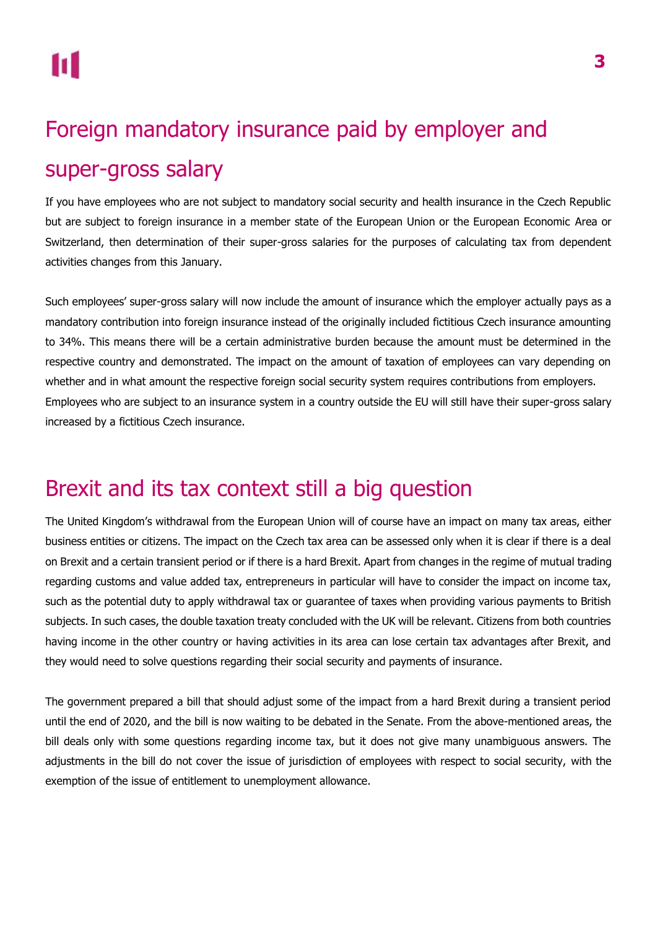## <span id="page-2-0"></span>Foreign mandatory insurance paid by employer and super-gross salary

If you have employees who are not subject to mandatory social security and health insurance in the Czech Republic but are subject to foreign insurance in a member state of the European Union or the European Economic Area or Switzerland, then determination of their super-gross salaries for the purposes of calculating tax from dependent activities changes from this January.

Such employees' super-gross salary will now include the amount of insurance which the employer actually pays as a mandatory contribution into foreign insurance instead of the originally included fictitious Czech insurance amounting to 34%. This means there will be a certain administrative burden because the amount must be determined in the respective country and demonstrated. The impact on the amount of taxation of employees can vary depending on whether and in what amount the respective foreign social security system requires contributions from employers. Employees who are subject to an insurance system in a country outside the EU will still have their super-gross salary increased by a fictitious Czech insurance.

## <span id="page-2-1"></span>Brexit and its tax context still a big question

The United Kingdom's withdrawal from the European Union will of course have an impact on many tax areas, either business entities or citizens. The impact on the Czech tax area can be assessed only when it is clear if there is a deal on Brexit and a certain transient period or if there is a hard Brexit. Apart from changes in the regime of mutual trading regarding customs and value added tax, entrepreneurs in particular will have to consider the impact on income tax, such as the potential duty to apply withdrawal tax or guarantee of taxes when providing various payments to British subjects. In such cases, the double taxation treaty concluded with the UK will be relevant. Citizens from both countries having income in the other country or having activities in its area can lose certain tax advantages after Brexit, and they would need to solve questions regarding their social security and payments of insurance.

The government prepared a bill that should adjust some of the impact from a hard Brexit during a transient period until the end of 2020, and the bill is now waiting to be debated in the Senate. From the above-mentioned areas, the bill deals only with some questions regarding income tax, but it does not give many unambiguous answers. The adjustments in the bill do not cover the issue of jurisdiction of employees with respect to social security, with the exemption of the issue of entitlement to unemployment allowance.